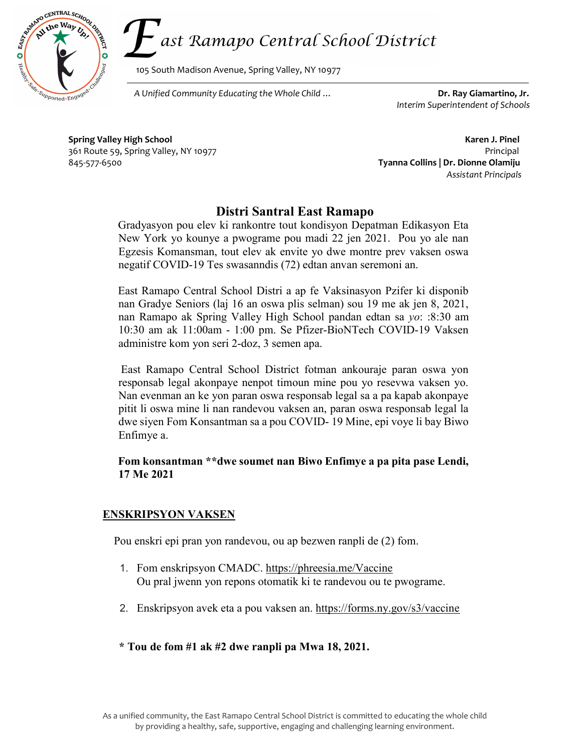

105 South Madison Avenue, Spring Valley, NY 10977

 $\overline{\text{Perff}_\text{20Ted}\text{F}_\text{20Ted}\text{F}_\text{20Ted}\text{F}_\text{20Ted}\text{F}_\text{20Ted}\text{F}_\text{20Ted}$  Dr. Ray Giamartino, Jr.

Interim Superintendent of Schools

Spring Valley High School **Karen J. Pinel** Karen J. Pinel 361 Route 59, Spring Valley, NY 10977 Principal 845-577-6500 Tyanna Collins | Dr. Dionne Olamiju

ì

Ġ

Assistant Principals

## Distri Santral East Ramapo

Gradyasyon pou elev ki rankontre tout kondisyon Depatman Edikasyon Eta New York yo kounye a pwograme pou madi 22 jen 2021. Pou yo ale nan Egzesis Komansman, tout elev ak envite yo dwe montre prev vaksen oswa negatif COVID-19 Tes swasanndis (72) edtan anvan seremoni an.

East Ramapo Central School Distri a ap fe Vaksinasyon Pzifer ki disponib nan Gradye Seniors (laj 16 an oswa plis selman) sou 19 me ak jen 8, 2021, nan Ramapo ak Spring Valley High School pandan edtan sa yo: :8:30 am 10:30 am ak 11:00am - 1:00 pm. Se Pfizer-BioNTech COVID-19 Vaksen administre kom yon seri 2-doz, 3 semen apa.

 East Ramapo Central School District fotman ankouraje paran oswa yon responsab legal akonpaye nenpot timoun mine pou yo resevwa vaksen yo. Nan evenman an ke yon paran oswa responsab legal sa a pa kapab akonpaye pitit li oswa mine li nan randevou vaksen an, paran oswa responsab legal la dwe siyen Fom Konsantman sa a pou COVID- 19 Mine, epi voye li bay Biwo Enfimye a.

## Fom konsantman \*\*dwe soumet nan Biwo Enfimye a pa pita pase Lendi, 17 Me 2021

## ENSKRIPSYON VAKSEN

Pou enskri epi pran yon randevou, ou ap bezwen ranpli de (2) fom.

- 1. Fom enskripsyon CMADC. https://phreesia.me/Vaccine Ou pral jwenn yon repons otomatik ki te randevou ou te pwograme.
- 2. Enskripsyon avek eta a pou vaksen an. https://forms.ny.gov/s3/vaccine
- \* Tou de fom #1 ak #2 dwe ranpli pa Mwa 18, 2021.